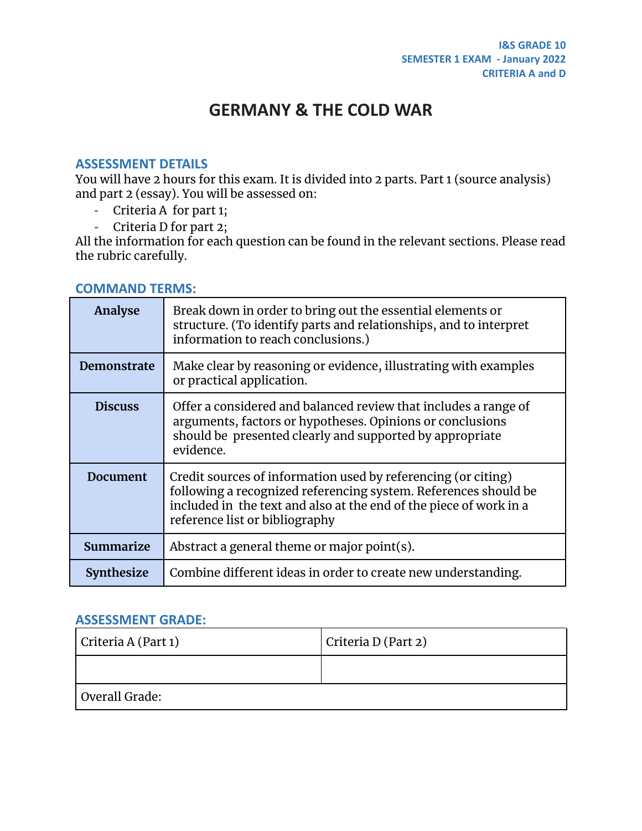## **GERMANY & THE COLD WAR**

#### **ASSESSMENT DETAILS**

You will have 2 hours for this exam. It is divided into 2 parts. Part 1 (source analysis) and part 2 (essay). You will be assessed on:

- **-** Criteria A for part 1;
- **-** Criteria D for part 2;

All the information for each question can be found in the relevant sections. Please read the rubric carefully.

#### **COMMAND TERMS:**

| <b>Analyse</b>     | Break down in order to bring out the essential elements or<br>structure. (To identify parts and relationships, and to interpret<br>information to reach conclusions.)                                                                    |
|--------------------|------------------------------------------------------------------------------------------------------------------------------------------------------------------------------------------------------------------------------------------|
| <b>Demonstrate</b> | Make clear by reasoning or evidence, illustrating with examples<br>or practical application.                                                                                                                                             |
| <b>Discuss</b>     | Offer a considered and balanced review that includes a range of<br>arguments, factors or hypotheses. Opinions or conclusions<br>should be presented clearly and supported by appropriate<br>evidence.                                    |
| <b>Document</b>    | Credit sources of information used by referencing (or citing)<br>following a recognized referencing system. References should be<br>included in the text and also at the end of the piece of work in a<br>reference list or bibliography |
| Summarize          | Abstract a general theme or major point(s).                                                                                                                                                                                              |
| <b>Synthesize</b>  | Combine different ideas in order to create new understanding.                                                                                                                                                                            |

#### **ASSESSMENT GRADE:**

| Criteria A (Part 1) | Criteria D (Part 2) |  |  |  |
|---------------------|---------------------|--|--|--|
|                     |                     |  |  |  |
| Overall Grade:      |                     |  |  |  |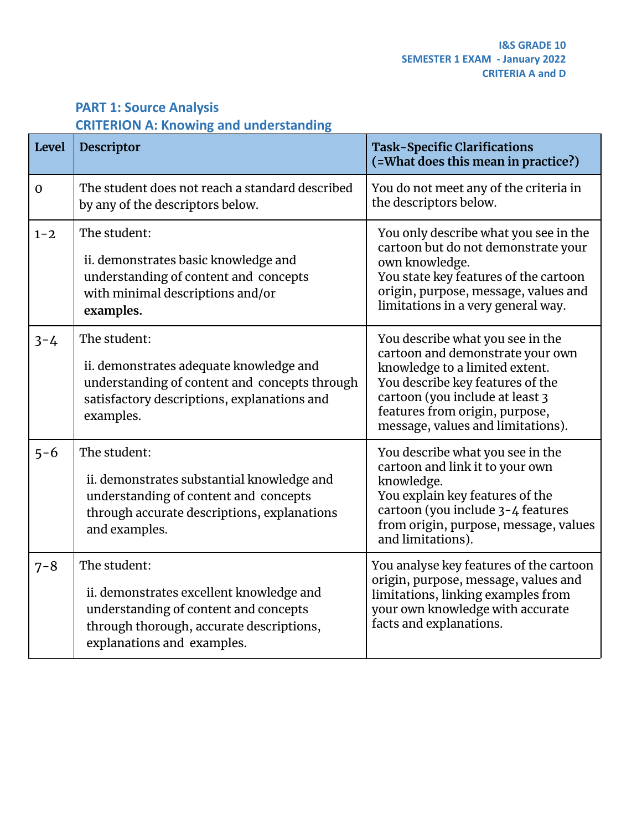## **PART 1: Source Analysis CRITERION A: Knowing and understanding**

| <b>Level</b> | Descriptor                                                                                                                                                                  | <b>Task-Specific Clarifications</b><br>(=What does this mean in practice?)                                                                                                                                                                           |
|--------------|-----------------------------------------------------------------------------------------------------------------------------------------------------------------------------|------------------------------------------------------------------------------------------------------------------------------------------------------------------------------------------------------------------------------------------------------|
| $\mathbf 0$  | The student does not reach a standard described<br>by any of the descriptors below.                                                                                         | You do not meet any of the criteria in<br>the descriptors below.                                                                                                                                                                                     |
| $1 - 2$      | The student:<br>ii. demonstrates basic knowledge and<br>understanding of content and concepts<br>with minimal descriptions and/or<br>examples.                              | You only describe what you see in the<br>cartoon but do not demonstrate your<br>own knowledge.<br>You state key features of the cartoon<br>origin, purpose, message, values and<br>limitations in a very general way.                                |
| $3 - 4$      | The student:<br>ii. demonstrates adequate knowledge and<br>understanding of content and concepts through<br>satisfactory descriptions, explanations and<br>examples.        | You describe what you see in the<br>cartoon and demonstrate your own<br>knowledge to a limited extent.<br>You describe key features of the<br>cartoon (you include at least 3<br>features from origin, purpose,<br>message, values and limitations). |
| $5 - 6$      | The student:<br>ii. demonstrates substantial knowledge and<br>understanding of content and concepts<br>through accurate descriptions, explanations<br>and examples.         | You describe what you see in the<br>cartoon and link it to your own<br>knowledge.<br>You explain key features of the<br>cartoon (you include 3-4 features<br>from origin, purpose, message, values<br>and limitations).                              |
| $7 - 8$      | The student:<br>ii. demonstrates excellent knowledge and<br>understanding of content and concepts<br>through thorough, accurate descriptions,<br>explanations and examples. | You analyse key features of the cartoon<br>origin, purpose, message, values and<br>limitations, linking examples from<br>your own knowledge with accurate<br>facts and explanations.                                                                 |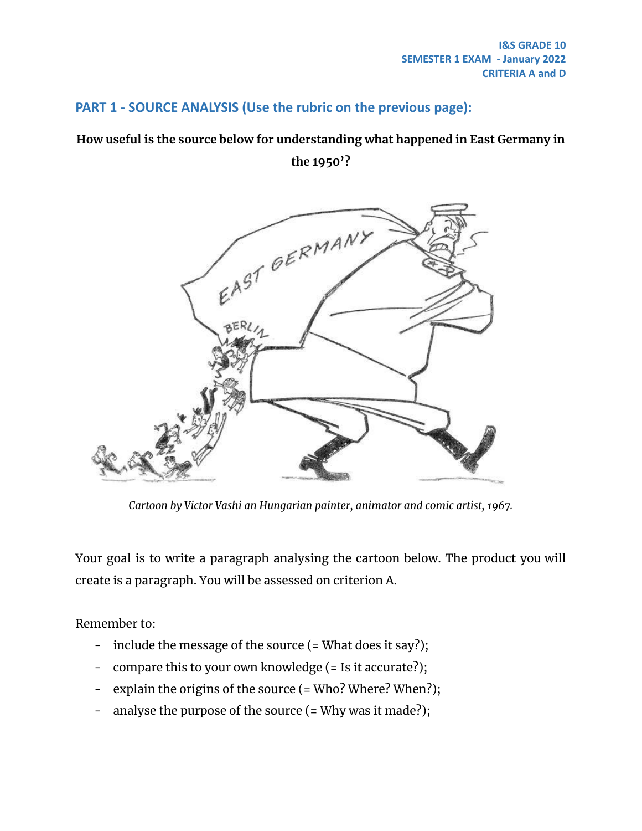#### **PART 1 - SOURCE ANALYSIS (Use the rubric on the previous page):**

### **How useful is the source below for understanding what happened in East Germany in**

**the 1950'?**



*Cartoon by Victor Vashi an Hungarian painter, animator and comic artist, 1967.*

Your goal is to write a paragraph analysing the cartoon below. The product you will create is a paragraph. You will be assessed on criterion A.

Remember to:

- include the message of the source (= What does it say?);
- compare this to your own knowledge (= Is it accurate?);
- explain the origins of the source (= Who? Where? When?);
- analyse the purpose of the source (= Why was it made?);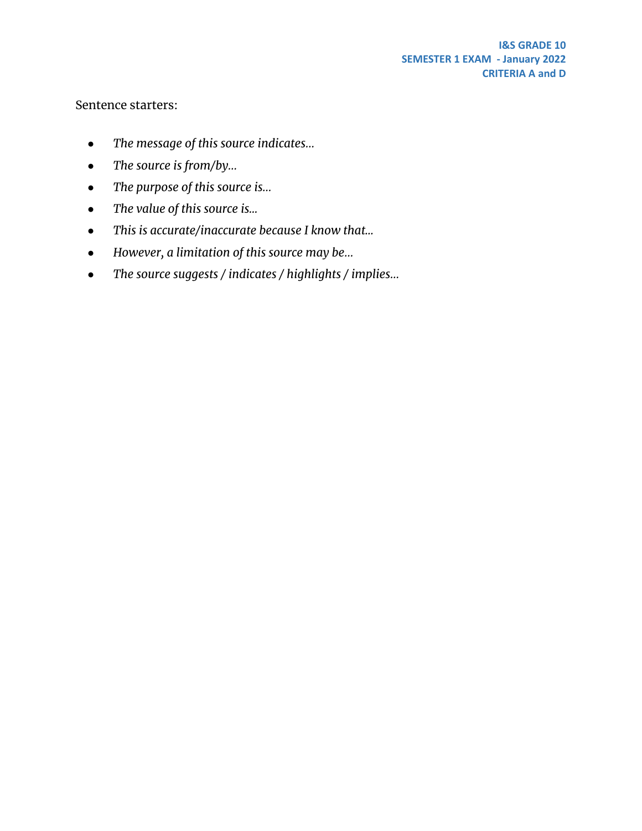Sentence starters:

- *● The message of this source indicates…*
- *● The source is from/by…*
- *● The purpose of this source is…*
- *● The value of this source is...*
- *● This is accurate/inaccurate because I know that...*
- *● However, a limitation of this source may be…*
- *● The source suggests / indicates / highlights / implies…*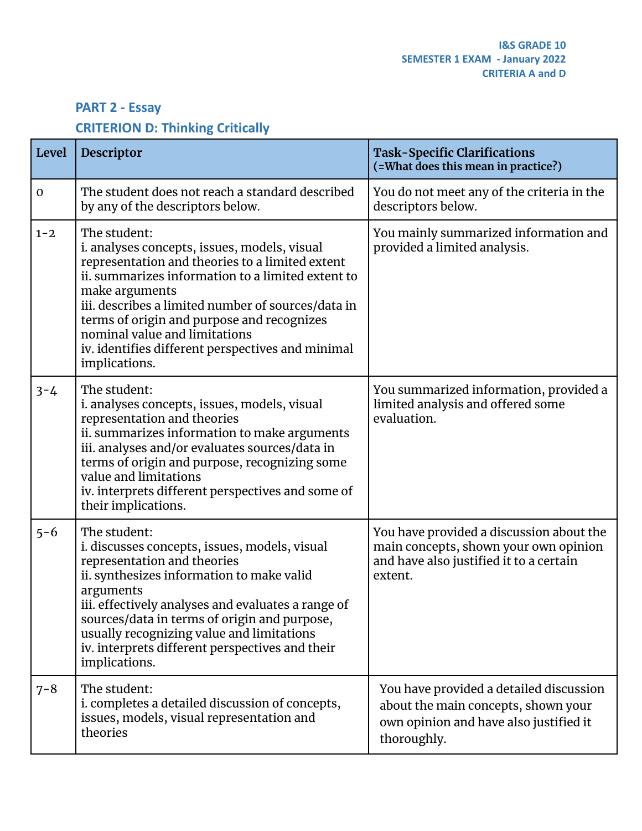## **PART 2 - Essay**

## **CRITERION D: Thinking Critically**

| <b>Level</b> | Descriptor                                                                                                                                                                                                                                                                                                                                                                                        | <b>Task-Specific Clarifications</b><br>(=What does this mean in practice?)                                                              |
|--------------|---------------------------------------------------------------------------------------------------------------------------------------------------------------------------------------------------------------------------------------------------------------------------------------------------------------------------------------------------------------------------------------------------|-----------------------------------------------------------------------------------------------------------------------------------------|
| $\mathbf 0$  | The student does not reach a standard described<br>by any of the descriptors below.                                                                                                                                                                                                                                                                                                               | You do not meet any of the criteria in the<br>descriptors below.                                                                        |
| $1 - 2$      | The student:<br>i. analyses concepts, issues, models, visual<br>representation and theories to a limited extent<br>ii. summarizes information to a limited extent to<br>make arguments<br>iii. describes a limited number of sources/data in<br>terms of origin and purpose and recognizes<br>nominal value and limitations<br>iv. identifies different perspectives and minimal<br>implications. | You mainly summarized information and<br>provided a limited analysis.                                                                   |
| $3 - 4$      | The student:<br>i. analyses concepts, issues, models, visual<br>representation and theories<br>ii. summarizes information to make arguments<br>iii. analyses and/or evaluates sources/data in<br>terms of origin and purpose, recognizing some<br>value and limitations<br>iv. interprets different perspectives and some of<br>their implications.                                               | You summarized information, provided a<br>limited analysis and offered some<br>evaluation.                                              |
| $5 - 6$      | The student:<br>i. discusses concepts, issues, models, visual<br>representation and theories<br>ii. synthesizes information to make valid<br>arguments<br>iii. effectively analyses and evaluates a range of<br>sources/data in terms of origin and purpose,<br>usually recognizing value and limitations<br>iv. interprets different perspectives and their<br>implications.                     | You have provided a discussion about the<br>main concepts, shown your own opinion<br>and have also justified it to a certain<br>extent. |
| $7 - 8$      | The student:<br>i. completes a detailed discussion of concepts,<br>issues, models, visual representation and<br>theories                                                                                                                                                                                                                                                                          | You have provided a detailed discussion<br>about the main concepts, shown your<br>own opinion and have also justified it<br>thoroughly. |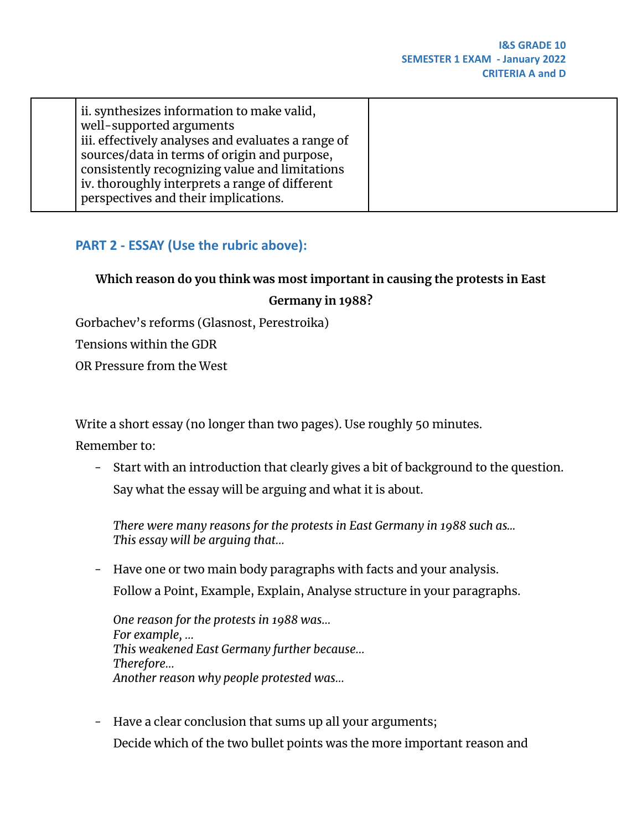| ii. synthesizes information to make valid,<br>well-supported arguments<br>iii. effectively analyses and evaluates a range of<br>sources/data in terms of origin and purpose,<br>consistently recognizing value and limitations<br>iv. thoroughly interprets a range of different |  |
|----------------------------------------------------------------------------------------------------------------------------------------------------------------------------------------------------------------------------------------------------------------------------------|--|
| perspectives and their implications.                                                                                                                                                                                                                                             |  |

## **PART 2 - ESSAY (Use the rubric above):**

## **Which reason do you think was most important in causing the protests in East**

#### **Germany in 1988?**

Gorbachev's reforms (Glasnost, Perestroika)

Tensions within the GDR

OR Pressure from the West

Write a short essay (no longer than two pages). Use roughly 50 minutes.

Remember to:

- Start with an introduction that clearly gives a bit of background to the question. Say what the essay will be arguing and what it is about.

*There were many reasons for the protests in East Germany in 1988 such as... This essay will be arguing that…*

- Have one or two main body paragraphs with facts and your analysis. Follow a Point, Example, Explain, Analyse structure in your paragraphs.

*One reason for the protests in 1988 was… For example, … This weakened East Germany further because… Therefore… Another reason why people protested was…*

- Have a clear conclusion that sums up all your arguments; Decide which of the two bullet points was the more important reason and